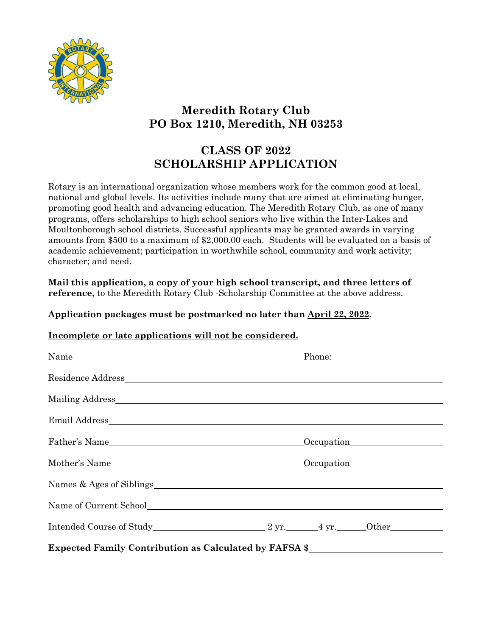

# **Meredith Rotary Club PO Box 1210, Meredith, NH 03253**

# **CLASS OF 2022 SCHOLARSHIP APPLICATION**

Rotary is an international organization whose members work for the common good at local, national and global levels. Its activities include many that are aimed at eliminating hunger, promoting good health and advancing education. The Meredith Rotary Club, as one of many programs, offers scholarships to high school seniors who live within the Inter-Lakes and Moultonborough school districts. Successful applicants may be granted awards in varying amounts from \$500 to a maximum of \$2,000.00 each. Students will be evaluated on a basis of academic achievement; participation in worthwhile school, community and work activity; character; and need.

**Mail this application, a copy of your high school transcript, and three letters of reference,** to the Meredith Rotary Club -Scholarship Committee at the above address.

#### **Application packages must be postmarked no later than April 22, 2022.**

## **Incomplete or late applications will not be considered.**

| Father's Name                                                                                                                                                                                                                  | Occupation<br><u>Occupation</u> |  |
|--------------------------------------------------------------------------------------------------------------------------------------------------------------------------------------------------------------------------------|---------------------------------|--|
| Mother's Name Cocupation Communication Communication Communication Communication Communication Communication Communication Communication Communication Communication Communication Communication Communication Communication C |                                 |  |
|                                                                                                                                                                                                                                |                                 |  |
| Name of Current School <u>Current School</u>                                                                                                                                                                                   |                                 |  |
| Intended Course of Study 2 yr. 4 yr. Other                                                                                                                                                                                     |                                 |  |
| Expected Family Contribution as Calculated by FAFSA \$____________________________                                                                                                                                             |                                 |  |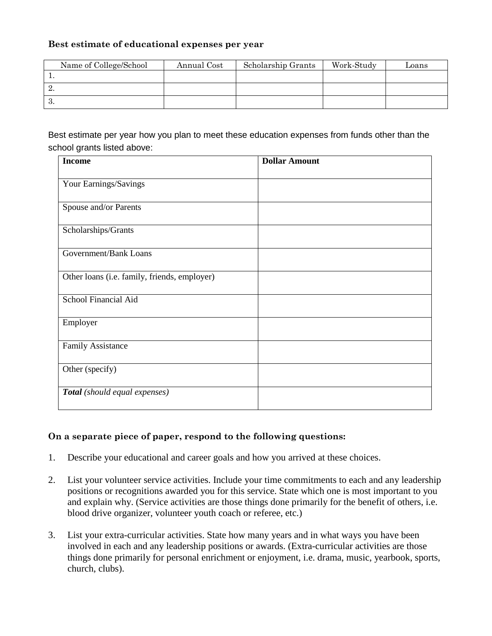#### **Best estimate of educational expenses per year**

| Name of College/School | Annual Cost | Scholarship Grants | Work-Study | Loans |
|------------------------|-------------|--------------------|------------|-------|
|                        |             |                    |            |       |
| ∸.                     |             |                    |            |       |
| . ల.                   |             |                    |            |       |

Best estimate per year how you plan to meet these education expenses from funds other than the school grants listed above:

| <b>Income</b>                                | <b>Dollar Amount</b> |
|----------------------------------------------|----------------------|
| Your Earnings/Savings                        |                      |
| Spouse and/or Parents                        |                      |
|                                              |                      |
| Scholarships/Grants                          |                      |
| Government/Bank Loans                        |                      |
| Other loans (i.e. family, friends, employer) |                      |
| School Financial Aid                         |                      |
| Employer                                     |                      |
| <b>Family Assistance</b>                     |                      |
| Other (specify)                              |                      |
| Total (should equal expenses)                |                      |

## **On a separate piece of paper, respond to the following questions:**

- 1. Describe your educational and career goals and how you arrived at these choices.
- 2. List your volunteer service activities. Include your time commitments to each and any leadership positions or recognitions awarded you for this service. State which one is most important to you and explain why. (Service activities are those things done primarily for the benefit of others, i.e. blood drive organizer, volunteer youth coach or referee, etc.)
- 3. List your extra-curricular activities. State how many years and in what ways you have been involved in each and any leadership positions or awards. (Extra-curricular activities are those things done primarily for personal enrichment or enjoyment, i.e. drama, music, yearbook, sports, church, clubs).